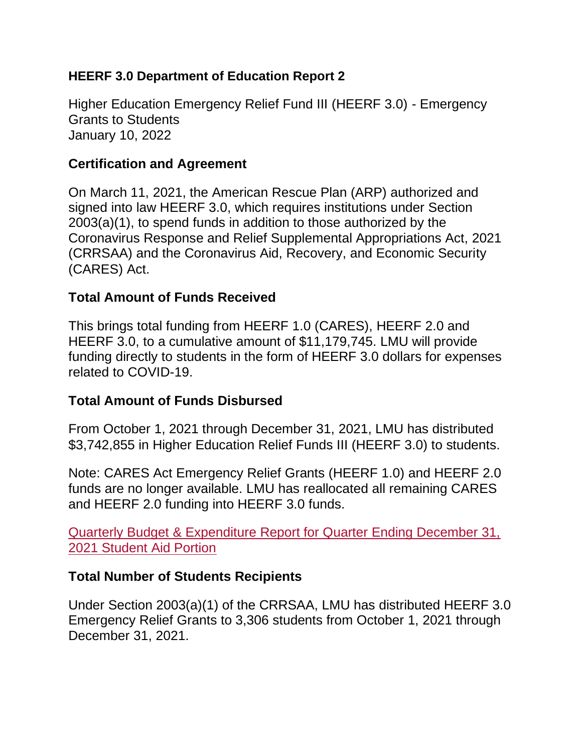## **HEERF 3.0 Department of Education Report 2**

Higher Education Emergency Relief Fund III (HEERF 3.0) - Emergency Grants to Students January 10, 2022

## **Certification and Agreement**

On March 11, 2021, the American Rescue Plan (ARP) authorized and signed into law HEERF 3.0, which requires institutions under Section 2003(a)(1), to spend funds in addition to those authorized by the Coronavirus Response and Relief Supplemental Appropriations Act, 2021 (CRRSAA) and the Coronavirus Aid, Recovery, and Economic Security (CARES) Act.

## **Total Amount of Funds Received**

This brings total funding from HEERF 1.0 (CARES), HEERF 2.0 and HEERF 3.0, to a cumulative amount of \$11,179,745. LMU will provide funding directly to students in the form of HEERF 3.0 dollars for expenses related to COVID-19.

## **Total Amount of Funds Disbursed**

From October 1, 2021 through December 31, 2021, LMU has distributed \$3,742,855 in Higher Education Relief Funds III (HEERF 3.0) to students.

Note: CARES Act Emergency Relief Grants (HEERF 1.0) and HEERF 2.0 funds are no longer available. LMU has reallocated all remaining CARES and HEERF 2.0 funding into HEERF 3.0 funds.

[Quarterly Budget & Expenditure Report for Quarter Ending December 31,](https://www.lmu.edu/media/2019lmu/returntocampus/documents/01164900_HEERF_Q42021_11022_student.pdf)  [2021 Student Aid Portion](https://www.lmu.edu/media/2019lmu/returntocampus/documents/01164900_HEERF_Q42021_11022_student.pdf)

## **Total Number of Students Recipients**

Under Section 2003(a)(1) of the CRRSAA, LMU has distributed HEERF 3.0 Emergency Relief Grants to 3,306 students from October 1, 2021 through December 31, 2021.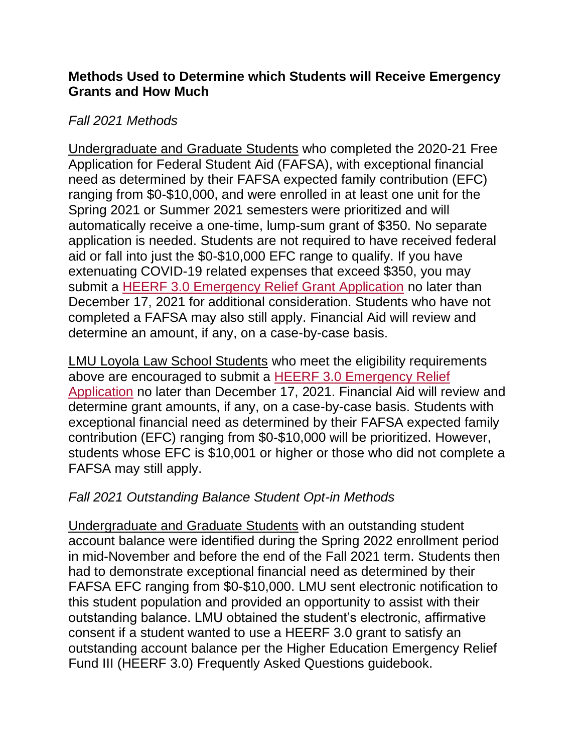## **Methods Used to Determine which Students will Receive Emergency Grants and How Much**

# *Fall 2021 Methods*

Undergraduate and Graduate Students who completed the 2020-21 Free Application for Federal Student Aid (FAFSA), with exceptional financial need as determined by their FAFSA expected family contribution (EFC) ranging from \$0-\$10,000, and were enrolled in at least one unit for the Spring 2021 or Summer 2021 semesters were prioritized and will automatically receive a one-time, lump-sum grant of \$350. No separate application is needed. Students are not required to have received federal aid or fall into just the \$0-\$10,000 EFC range to qualify. If you have extenuating COVID-19 related expenses that exceed \$350, you may submit a [HEERF 3.0 Emergency Relief Grant Application](https://www.lmu.edu/media/2019lmu/returntocampus/documents/HEERF-3.0-Emergency-Relief-Application_Fall%202021x2_FINAL.pdf) no later than December 17, 2021 for additional consideration. Students who have not completed a FAFSA may also still apply. Financial Aid will review and determine an amount, if any, on a case-by-case basis.

LMU Loyola Law School Students who meet the eligibility requirements above are encouraged to submit a **HEERF 3.0 Emergency Relief** [Application](https://www.lmu.edu/media/lmufinaid/graduatefinancialaid/2022-2023graduateforms/HEERF%203.0%20Emergency%20Relief%20Application_Fall%202021x2.pdf) no later than December 17, 2021. Financial Aid will review and determine grant amounts, if any, on a case-by-case basis. Students with exceptional financial need as determined by their FAFSA expected family contribution (EFC) ranging from \$0-\$10,000 will be prioritized. However, students whose EFC is \$10,001 or higher or those who did not complete a FAFSA may still apply.

# *Fall 2021 Outstanding Balance Student Opt-in Methods*

Undergraduate and Graduate Students with an outstanding student account balance were identified during the Spring 2022 enrollment period in mid-November and before the end of the Fall 2021 term. Students then had to demonstrate exceptional financial need as determined by their FAFSA EFC ranging from \$0-\$10,000. LMU sent electronic notification to this student population and provided an opportunity to assist with their outstanding balance. LMU obtained the student's electronic, affirmative consent if a student wanted to use a HEERF 3.0 grant to satisfy an outstanding account balance per the Higher Education Emergency Relief Fund III (HEERF 3.0) Frequently Asked Questions guidebook.